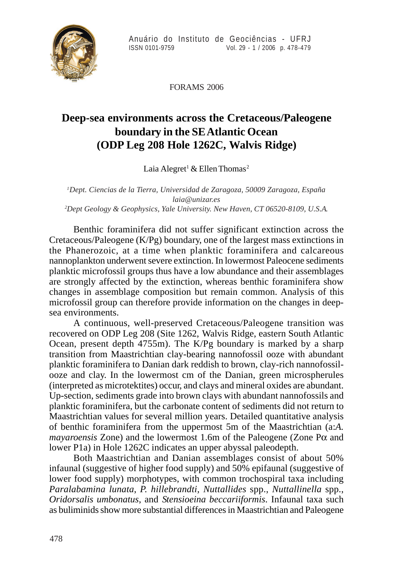

FORAMS 2006

## **Deep-sea environments across the Cretaceous/Paleogene boundary in the SE Atlantic Ocean (ODP Leg 208 Hole 1262C, Walvis Ridge)**

Laia Alegret<sup>1</sup> & Ellen Thomas<sup>2</sup>

*1 Dept. Ciencias de la Tierra, Universidad de Zaragoza, 50009 Zaragoza, España laia@unizar.es 2 Dept Geology & Geophysics, Yale University. New Haven, CT 06520-8109, U.S.A*.

Benthic foraminifera did not suffer significant extinction across the Cretaceous/Paleogene (K/Pg) boundary, one of the largest mass extinctions in the Phanerozoic, at a time when planktic foraminifera and calcareous nannoplankton underwent severe extinction. In lowermost Paleocene sediments planktic microfossil groups thus have a low abundance and their assemblages are strongly affected by the extinction, whereas benthic foraminifera show changes in assemblage composition but remain common. Analysis of this microfossil group can therefore provide information on the changes in deepsea environments.

A continuous, well-preserved Cretaceous/Paleogene transition was recovered on ODP Leg 208 (Site 1262, Walvis Ridge, eastern South Atlantic Ocean, present depth 4755m). The K/Pg boundary is marked by a sharp transition from Maastrichtian clay-bearing nannofossil ooze with abundant planktic foraminifera to Danian dark reddish to brown, clay-rich nannofossilooze and clay. In the lowermost cm of the Danian, green microspherules (interpreted as microtektites) occur, and clays and mineral oxides are abundant. Up-section, sediments grade into brown clays with abundant nannofossils and planktic foraminifera, but the carbonate content of sediments did not return to Maastrichtian values for several million years. Detailed quantitative analysis of benthic foraminifera from the uppermost 5m of the Maastrichtian (a:*A. mayaroensis* Zone) and the lowermost 1.6m of the Paleogene (Zone Pα and lower P1a) in Hole 1262C indicates an upper abyssal paleodepth.

Both Maastrichtian and Danian assemblages consist of about 50% infaunal (suggestive of higher food supply) and 50% epifaunal (suggestive of lower food supply) morphotypes, with common trochospiral taxa including *Paralabamina lunata*, *P. hillebrandti, Nuttallides* spp., *Nuttallinella* spp., *Oridorsalis umbonatus*, and *Stensioeina beccariiformis*. Infaunal taxa such as buliminids show more substantial differences in Maastrichtian and Paleogene